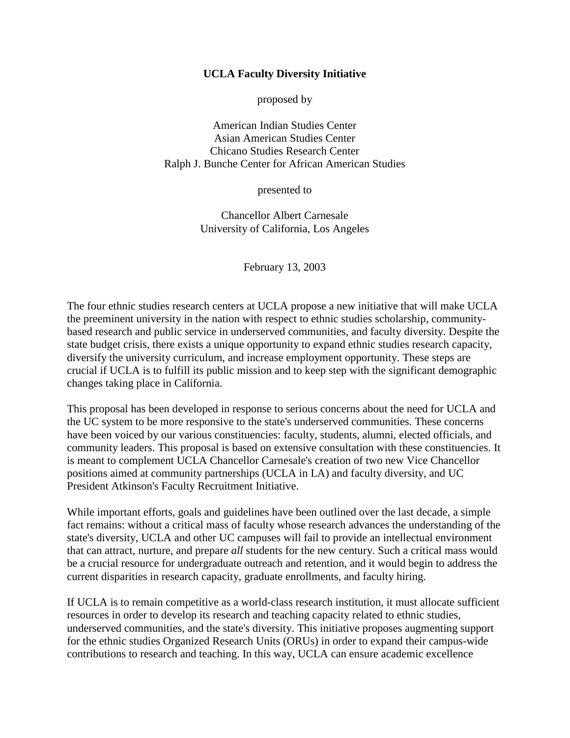#### **UCLA Faculty Diversity Initiative**

proposed by

American Indian Studies Center Asian American Studies Center Chicano Studies Research Center Ralph J. Bunche Center for African American Studies

presented to

Chancellor Albert Carnesale University of California, Los Angeles

February 13, 2003

The four ethnic studies research centers at UCLA propose a new initiative that will make UCLA the preeminent university in the nation with respect to ethnic studies scholarship, communitybased research and public service in underserved communities, and faculty diversity. Despite the state budget crisis, there exists a unique opportunity to expand ethnic studies research capacity, diversify the university curriculum, and increase employment opportunity. These steps are crucial if UCLA is to fulfill its public mission and to keep step with the significant demographic changes taking place in California.

This proposal has been developed in response to serious concerns about the need for UCLA and the UC system to be more responsive to the state's underserved communities. These concerns have been voiced by our various constituencies: faculty, students, alumni, elected officials, and community leaders. This proposal is based on extensive consultation with these constituencies. It is meant to complement UCLA Chancellor Carnesale's creation of two new Vice Chancellor positions aimed at community partnerships (UCLA in LA) and faculty diversity, and UC President Atkinson's Faculty Recruitment Initiative.

While important efforts, goals and guidelines have been outlined over the last decade, a simple fact remains: without a critical mass of faculty whose research advances the understanding of the state's diversity, UCLA and other UC campuses will fail to provide an intellectual environment that can attract, nurture, and prepare *all* students for the new century. Such a critical mass would be a crucial resource for undergraduate outreach and retention, and it would begin to address the current disparities in research capacity, graduate enrollments, and faculty hiring.

If UCLA is to remain competitive as a world-class research institution, it must allocate sufficient resources in order to develop its research and teaching capacity related to ethnic studies, underserved communities, and the state's diversity. This initiative proposes augmenting support for the ethnic studies Organized Research Units (ORUs) in order to expand their campus-wide contributions to research and teaching. In this way, UCLA can ensure academic excellence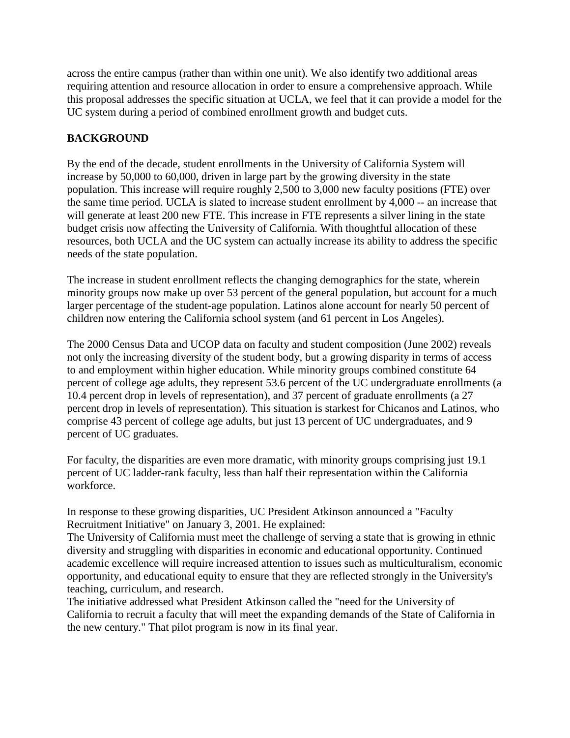across the entire campus (rather than within one unit). We also identify two additional areas requiring attention and resource allocation in order to ensure a comprehensive approach. While this proposal addresses the specific situation at UCLA, we feel that it can provide a model for the UC system during a period of combined enrollment growth and budget cuts.

# **BACKGROUND**

By the end of the decade, student enrollments in the University of California System will increase by 50,000 to 60,000, driven in large part by the growing diversity in the state population. This increase will require roughly 2,500 to 3,000 new faculty positions (FTE) over the same time period. UCLA is slated to increase student enrollment by 4,000 -- an increase that will generate at least 200 new FTE. This increase in FTE represents a silver lining in the state budget crisis now affecting the University of California. With thoughtful allocation of these resources, both UCLA and the UC system can actually increase its ability to address the specific needs of the state population.

The increase in student enrollment reflects the changing demographics for the state, wherein minority groups now make up over 53 percent of the general population, but account for a much larger percentage of the student-age population. Latinos alone account for nearly 50 percent of children now entering the California school system (and 61 percent in Los Angeles).

The 2000 Census Data and UCOP data on faculty and student composition (June 2002) reveals not only the increasing diversity of the student body, but a growing disparity in terms of access to and employment within higher education. While minority groups combined constitute 64 percent of college age adults, they represent 53.6 percent of the UC undergraduate enrollments (a 10.4 percent drop in levels of representation), and 37 percent of graduate enrollments (a 27 percent drop in levels of representation). This situation is starkest for Chicanos and Latinos, who comprise 43 percent of college age adults, but just 13 percent of UC undergraduates, and 9 percent of UC graduates.

For faculty, the disparities are even more dramatic, with minority groups comprising just 19.1 percent of UC ladder-rank faculty, less than half their representation within the California workforce.

In response to these growing disparities, UC President Atkinson announced a "Faculty Recruitment Initiative" on January 3, 2001. He explained:

The University of California must meet the challenge of serving a state that is growing in ethnic diversity and struggling with disparities in economic and educational opportunity. Continued academic excellence will require increased attention to issues such as multiculturalism, economic opportunity, and educational equity to ensure that they are reflected strongly in the University's teaching, curriculum, and research.

The initiative addressed what President Atkinson called the "need for the University of California to recruit a faculty that will meet the expanding demands of the State of California in the new century." That pilot program is now in its final year.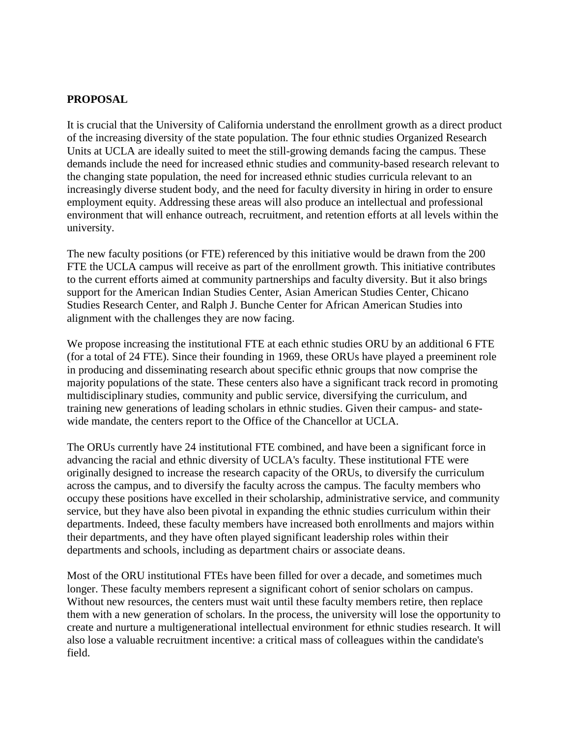### **PROPOSAL**

It is crucial that the University of California understand the enrollment growth as a direct product of the increasing diversity of the state population. The four ethnic studies Organized Research Units at UCLA are ideally suited to meet the still-growing demands facing the campus. These demands include the need for increased ethnic studies and community-based research relevant to the changing state population, the need for increased ethnic studies curricula relevant to an increasingly diverse student body, and the need for faculty diversity in hiring in order to ensure employment equity. Addressing these areas will also produce an intellectual and professional environment that will enhance outreach, recruitment, and retention efforts at all levels within the university.

The new faculty positions (or FTE) referenced by this initiative would be drawn from the 200 FTE the UCLA campus will receive as part of the enrollment growth. This initiative contributes to the current efforts aimed at community partnerships and faculty diversity. But it also brings support for the American Indian Studies Center, Asian American Studies Center, Chicano Studies Research Center, and Ralph J. Bunche Center for African American Studies into alignment with the challenges they are now facing.

We propose increasing the institutional FTE at each ethnic studies ORU by an additional 6 FTE (for a total of 24 FTE). Since their founding in 1969, these ORUs have played a preeminent role in producing and disseminating research about specific ethnic groups that now comprise the majority populations of the state. These centers also have a significant track record in promoting multidisciplinary studies, community and public service, diversifying the curriculum, and training new generations of leading scholars in ethnic studies. Given their campus- and statewide mandate, the centers report to the Office of the Chancellor at UCLA.

The ORUs currently have 24 institutional FTE combined, and have been a significant force in advancing the racial and ethnic diversity of UCLA's faculty. These institutional FTE were originally designed to increase the research capacity of the ORUs, to diversify the curriculum across the campus, and to diversify the faculty across the campus. The faculty members who occupy these positions have excelled in their scholarship, administrative service, and community service, but they have also been pivotal in expanding the ethnic studies curriculum within their departments. Indeed, these faculty members have increased both enrollments and majors within their departments, and they have often played significant leadership roles within their departments and schools, including as department chairs or associate deans.

Most of the ORU institutional FTEs have been filled for over a decade, and sometimes much longer. These faculty members represent a significant cohort of senior scholars on campus. Without new resources, the centers must wait until these faculty members retire, then replace them with a new generation of scholars. In the process, the university will lose the opportunity to create and nurture a multigenerational intellectual environment for ethnic studies research. It will also lose a valuable recruitment incentive: a critical mass of colleagues within the candidate's field.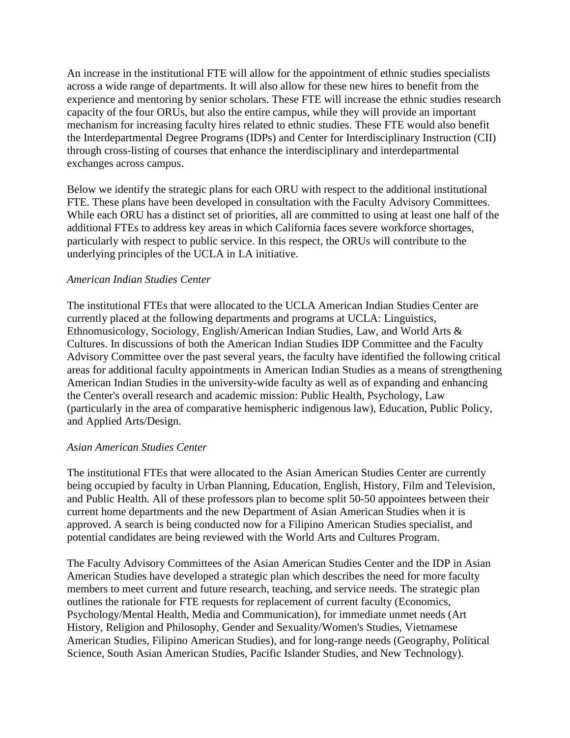An increase in the institutional FTE will allow for the appointment of ethnic studies specialists across a wide range of departments. It will also allow for these new hires to benefit from the experience and mentoring by senior scholars. These FTE will increase the ethnic studies research capacity of the four ORUs, but also the entire campus, while they will provide an important mechanism for increasing faculty hires related to ethnic studies. These FTE would also benefit the Interdepartmental Degree Programs (IDPs) and Center for Interdisciplinary Instruction (CII) through cross-listing of courses that enhance the interdisciplinary and interdepartmental exchanges across campus.

Below we identify the strategic plans for each ORU with respect to the additional institutional FTE. These plans have been developed in consultation with the Faculty Advisory Committees. While each ORU has a distinct set of priorities, all are committed to using at least one half of the additional FTEs to address key areas in which California faces severe workforce shortages, particularly with respect to public service. In this respect, the ORUs will contribute to the underlying principles of the UCLA in LA initiative.

#### *American Indian Studies Center*

The institutional FTEs that were allocated to the UCLA American Indian Studies Center are currently placed at the following departments and programs at UCLA: Linguistics, Ethnomusicology, Sociology, English/American Indian Studies, Law, and World Arts & Cultures. In discussions of both the American Indian Studies IDP Committee and the Faculty Advisory Committee over the past several years, the faculty have identified the following critical areas for additional faculty appointments in American Indian Studies as a means of strengthening American Indian Studies in the university-wide faculty as well as of expanding and enhancing the Center's overall research and academic mission: Public Health, Psychology, Law (particularly in the area of comparative hemispheric indigenous law), Education, Public Policy, and Applied Arts/Design.

#### *Asian American Studies Center*

The institutional FTEs that were allocated to the Asian American Studies Center are currently being occupied by faculty in Urban Planning, Education, English, History, Film and Television, and Public Health. All of these professors plan to become split 50-50 appointees between their current home departments and the new Department of Asian American Studies when it is approved. A search is being conducted now for a Filipino American Studies specialist, and potential candidates are being reviewed with the World Arts and Cultures Program.

The Faculty Advisory Committees of the Asian American Studies Center and the IDP in Asian American Studies have developed a strategic plan which describes the need for more faculty members to meet current and future research, teaching, and service needs. The strategic plan outlines the rationale for FTE requests for replacement of current faculty (Economics, Psychology/Mental Health, Media and Communication), for immediate unmet needs (Art History, Religion and Philosophy, Gender and Sexuality/Women's Studies, Vietnamese American Studies, Filipino American Studies), and for long-range needs (Geography, Political Science, South Asian American Studies, Pacific Islander Studies, and New Technology).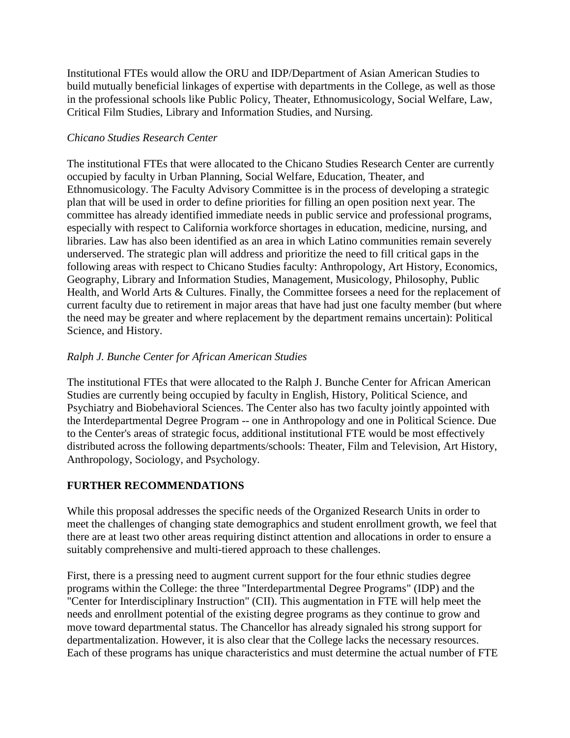Institutional FTEs would allow the ORU and IDP/Department of Asian American Studies to build mutually beneficial linkages of expertise with departments in the College, as well as those in the professional schools like Public Policy, Theater, Ethnomusicology, Social Welfare, Law, Critical Film Studies, Library and Information Studies, and Nursing.

### *Chicano Studies Research Center*

The institutional FTEs that were allocated to the Chicano Studies Research Center are currently occupied by faculty in Urban Planning, Social Welfare, Education, Theater, and Ethnomusicology. The Faculty Advisory Committee is in the process of developing a strategic plan that will be used in order to define priorities for filling an open position next year. The committee has already identified immediate needs in public service and professional programs, especially with respect to California workforce shortages in education, medicine, nursing, and libraries. Law has also been identified as an area in which Latino communities remain severely underserved. The strategic plan will address and prioritize the need to fill critical gaps in the following areas with respect to Chicano Studies faculty: Anthropology, Art History, Economics, Geography, Library and Information Studies, Management, Musicology, Philosophy, Public Health, and World Arts & Cultures. Finally, the Committee forsees a need for the replacement of current faculty due to retirement in major areas that have had just one faculty member (but where the need may be greater and where replacement by the department remains uncertain): Political Science, and History.

# *Ralph J. Bunche Center for African American Studies*

The institutional FTEs that were allocated to the Ralph J. Bunche Center for African American Studies are currently being occupied by faculty in English, History, Political Science, and Psychiatry and Biobehavioral Sciences. The Center also has two faculty jointly appointed with the Interdepartmental Degree Program -- one in Anthropology and one in Political Science. Due to the Center's areas of strategic focus, additional institutional FTE would be most effectively distributed across the following departments/schools: Theater, Film and Television, Art History, Anthropology, Sociology, and Psychology.

# **FURTHER RECOMMENDATIONS**

While this proposal addresses the specific needs of the Organized Research Units in order to meet the challenges of changing state demographics and student enrollment growth, we feel that there are at least two other areas requiring distinct attention and allocations in order to ensure a suitably comprehensive and multi-tiered approach to these challenges.

First, there is a pressing need to augment current support for the four ethnic studies degree programs within the College: the three "Interdepartmental Degree Programs" (IDP) and the "Center for Interdisciplinary Instruction" (CII). This augmentation in FTE will help meet the needs and enrollment potential of the existing degree programs as they continue to grow and move toward departmental status. The Chancellor has already signaled his strong support for departmentalization. However, it is also clear that the College lacks the necessary resources. Each of these programs has unique characteristics and must determine the actual number of FTE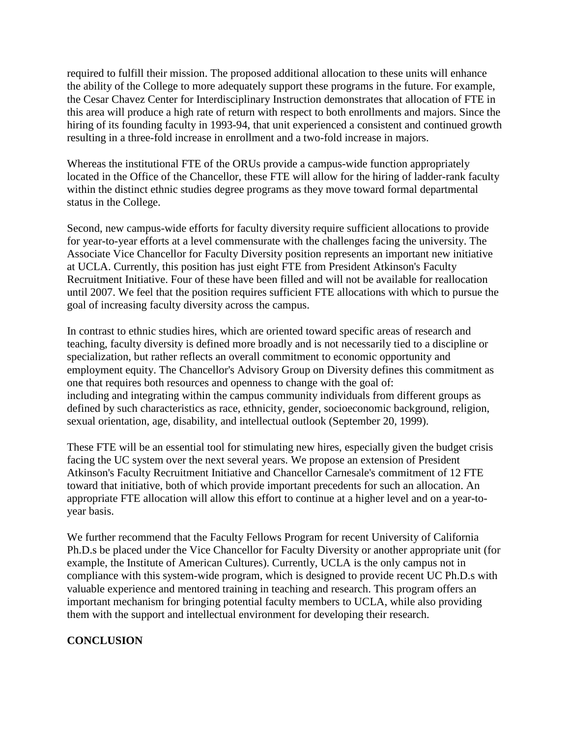required to fulfill their mission. The proposed additional allocation to these units will enhance the ability of the College to more adequately support these programs in the future. For example, the Cesar Chavez Center for Interdisciplinary Instruction demonstrates that allocation of FTE in this area will produce a high rate of return with respect to both enrollments and majors. Since the hiring of its founding faculty in 1993-94, that unit experienced a consistent and continued growth resulting in a three-fold increase in enrollment and a two-fold increase in majors.

Whereas the institutional FTE of the ORUs provide a campus-wide function appropriately located in the Office of the Chancellor, these FTE will allow for the hiring of ladder-rank faculty within the distinct ethnic studies degree programs as they move toward formal departmental status in the College.

Second, new campus-wide efforts for faculty diversity require sufficient allocations to provide for year-to-year efforts at a level commensurate with the challenges facing the university. The Associate Vice Chancellor for Faculty Diversity position represents an important new initiative at UCLA. Currently, this position has just eight FTE from President Atkinson's Faculty Recruitment Initiative. Four of these have been filled and will not be available for reallocation until 2007. We feel that the position requires sufficient FTE allocations with which to pursue the goal of increasing faculty diversity across the campus.

In contrast to ethnic studies hires, which are oriented toward specific areas of research and teaching, faculty diversity is defined more broadly and is not necessarily tied to a discipline or specialization, but rather reflects an overall commitment to economic opportunity and employment equity. The Chancellor's Advisory Group on Diversity defines this commitment as one that requires both resources and openness to change with the goal of: including and integrating within the campus community individuals from different groups as defined by such characteristics as race, ethnicity, gender, socioeconomic background, religion, sexual orientation, age, disability, and intellectual outlook (September 20, 1999).

These FTE will be an essential tool for stimulating new hires, especially given the budget crisis facing the UC system over the next several years. We propose an extension of President Atkinson's Faculty Recruitment Initiative and Chancellor Carnesale's commitment of 12 FTE toward that initiative, both of which provide important precedents for such an allocation. An appropriate FTE allocation will allow this effort to continue at a higher level and on a year-toyear basis.

We further recommend that the Faculty Fellows Program for recent University of California Ph.D.s be placed under the Vice Chancellor for Faculty Diversity or another appropriate unit (for example, the Institute of American Cultures). Currently, UCLA is the only campus not in compliance with this system-wide program, which is designed to provide recent UC Ph.D.s with valuable experience and mentored training in teaching and research. This program offers an important mechanism for bringing potential faculty members to UCLA, while also providing them with the support and intellectual environment for developing their research.

# **CONCLUSION**